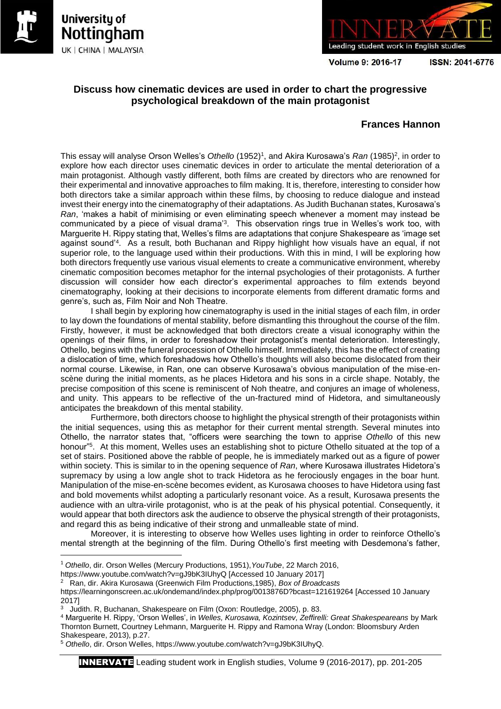

1





**Volume 9: 2016-17** 

ISSN: 2041-6776

## **Discuss how cinematic devices are used in order to chart the progressive psychological breakdown of the main protagonist**

## **Frances Hannon**

This essay will analyse Orson Welles's *Othello* (1952)<sup>1</sup>, and Akira Kurosawa's *Ran* (1985)<sup>2</sup>, in order to explore how each director uses cinematic devices in order to articulate the mental deterioration of a main protagonist. Although vastly different, both films are created by directors who are renowned for their experimental and innovative approaches to film making. It is, therefore, interesting to consider how both directors take a similar approach within these films, by choosing to reduce dialogue and instead invest their energy into the cinematography of their adaptations. As Judith Buchanan states, Kurosawa's *Ran*, 'makes a habit of minimising or even eliminating speech whenever a moment may instead be communicated by a piece of visual drama'<sup>3</sup> . This observation rings true in Welles's work too, with Marguerite H. Rippy stating that, Welles's films are adaptations that conjure Shakespeare as 'image set against sound'<sup>4</sup> . As a result, both Buchanan and Rippy highlight how visuals have an equal, if not superior role, to the language used within their productions. With this in mind, I will be exploring how both directors frequently use various visual elements to create a communicative environment, whereby cinematic composition becomes metaphor for the internal psychologies of their protagonists. A further discussion will consider how each director's experimental approaches to film extends beyond cinematography, looking at their decisions to incorporate elements from different dramatic forms and genre's, such as, Film Noir and Noh Theatre.

I shall begin by exploring how cinematography is used in the initial stages of each film, in order to lay down the foundations of mental stability, before dismantling this throughout the course of the film. Firstly, however, it must be acknowledged that both directors create a visual iconography within the openings of their films, in order to foreshadow their protagonist's mental deterioration. Interestingly, Othello, begins with the funeral procession of Othello himself. Immediately, this has the effect of creating a dislocation of time, which foreshadows how Othello's thoughts will also become dislocated from their normal course. Likewise, in Ran, one can observe Kurosawa's obvious manipulation of the mise-enscène during the initial moments, as he places Hidetora and his sons in a circle shape. Notably, the precise composition of this scene is reminiscent of Noh theatre, and conjures an image of wholeness, and unity. This appears to be reflective of the un-fractured mind of Hidetora, and simultaneously anticipates the breakdown of this mental stability.

Furthermore, both directors choose to highlight the physical strength of their protagonists within the initial sequences, using this as metaphor for their current mental strength. Several minutes into Othello, the narrator states that, "officers were searching the town to apprise *Othello* of this new honour"<sup>5</sup>. At this moment, Welles uses an establishing shot to picture Othello situated at the top of a set of stairs. Positioned above the rabble of people, he is immediately marked out as a figure of power within society. This is similar to in the opening sequence of *Ran*, where Kurosawa illustrates Hidetora's supremacy by using a low angle shot to track Hidetora as he ferociously engages in the boar hunt. Manipulation of the mise-en-scène becomes evident, as Kurosawa chooses to have Hidetora using fast and bold movements whilst adopting a particularly resonant voice. As a result, Kurosawa presents the audience with an ultra-virile protagonist, who is at the peak of his physical potential. Consequently, it would appear that both directors ask the audience to observe the physical strength of their protagonists, and regard this as being indicative of their strong and unmalleable state of mind.

Moreover, it is interesting to observe how Welles uses lighting in order to reinforce Othello's mental strength at the beginning of the film. During Othello's first meeting with Desdemona's father,

INNERVATE Leading student work in English studies, Volume 9 (2016-2017), pp. 201-205

<sup>1</sup> *Othello*, dir. Orson Welles (Mercury Productions, 1951),*YouTube*, 22 March 2016,

https://www.youtube.com/watch?v=gJ9bK3IUhyQ [Accessed 10 January 2017]

<sup>2</sup> Ran, dir. Akira Kurosawa (Greenwich Film Productions,1985), *Box of Broadcasts*

https://learningonscreen.ac.uk/ondemand/index.php/prog/0013876D?bcast=121619264 [Accessed 10 January 2017]

<sup>&</sup>lt;sup>3</sup> Judith. R, Buchanan, Shakespeare on Film (Oxon: Routledge, 2005), p. 83.

<sup>4</sup> Marguerite H. Rippy, 'Orson Welles', in *Welles, Kurosawa, Kozintsev, Zeffirelli: Great Shakespeareans* by Mark Thornton Burnett, Courtney Lehmann, Marguerite H. Rippy and Ramona Wray (London: Bloomsbury Arden Shakespeare, 2013), p.27.

<sup>5</sup> *Othello*, dir. Orson Welles, https://www.youtube.com/watch?v=gJ9bK3IUhyQ.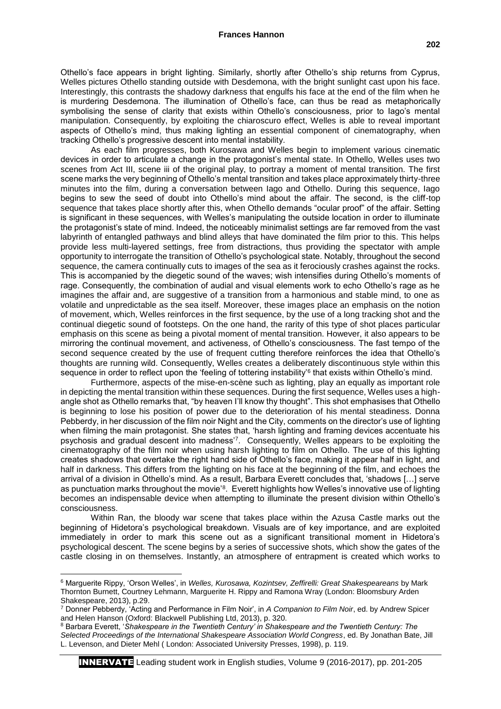Othello's face appears in bright lighting. Similarly, shortly after Othello's ship returns from Cyprus, Welles pictures Othello standing outside with Desdemona, with the bright sunlight cast upon his face. Interestingly, this contrasts the shadowy darkness that engulfs his face at the end of the film when he is murdering Desdemona. The illumination of Othello's face, can thus be read as metaphorically symbolising the sense of clarity that exists within Othello's consciousness, prior to Iago's mental manipulation. Consequently, by exploiting the chiaroscuro effect, Welles is able to reveal important aspects of Othello's mind, thus making lighting an essential component of cinematography, when tracking Othello's progressive descent into mental instability.

As each film progresses, both Kurosawa and Welles begin to implement various cinematic devices in order to articulate a change in the protagonist's mental state. In Othello, Welles uses two scenes from Act III, scene iii of the original play, to portray a moment of mental transition. The first scene marks the very beginning of Othello's mental transition and takes place approximately thirty-three minutes into the film, during a conversation between Iago and Othello. During this sequence, Iago begins to sew the seed of doubt into Othello's mind about the affair. The second, is the cliff-top sequence that takes place shortly after this, when Othello demands "ocular proof" of the affair. Setting is significant in these sequences, with Welles's manipulating the outside location in order to illuminate the protagonist's state of mind. Indeed, the noticeably minimalist settings are far removed from the vast labyrinth of entangled pathways and blind alleys that have dominated the film prior to this. This helps provide less multi-layered settings, free from distractions, thus providing the spectator with ample opportunity to interrogate the transition of Othello's psychological state. Notably, throughout the second sequence, the camera continually cuts to images of the sea as it ferociously crashes against the rocks. This is accompanied by the diegetic sound of the waves; wish intensifies during Othello's moments of rage. Consequently, the combination of audial and visual elements work to echo Othello's rage as he imagines the affair and, are suggestive of a transition from a harmonious and stable mind, to one as volatile and unpredictable as the sea itself. Moreover, these images place an emphasis on the notion of movement, which, Welles reinforces in the first sequence, by the use of a long tracking shot and the continual diegetic sound of footsteps. On the one hand, the rarity of this type of shot places particular emphasis on this scene as being a pivotal moment of mental transition. However, it also appears to be mirroring the continual movement, and activeness, of Othello's consciousness. The fast tempo of the second sequence created by the use of frequent cutting therefore reinforces the idea that Othello's thoughts are running wild. Consequently, Welles creates a deliberately discontinuous style within this sequence in order to reflect upon the 'feeling of tottering instability'<sup>6</sup> that exists within Othello's mind.

Furthermore, aspects of the mise-en-scène such as lighting, play an equally as important role in depicting the mental transition within these sequences. During the first sequence, Welles uses a highangle shot as Othello remarks that, "by heaven I'll know thy thought". This shot emphasises that Othello is beginning to lose his position of power due to the deterioration of his mental steadiness. Donna Pebberdy, in her discussion of the film noir Night and the City, comments on the director's use of lighting when filming the main protagonist. She states that, 'harsh lighting and framing devices accentuate his psychosis and gradual descent into madness'<sup>7</sup> . Consequently, Welles appears to be exploiting the cinematography of the film noir when using harsh lighting to film on Othello. The use of this lighting creates shadows that overtake the right hand side of Othello's face, making it appear half in light, and half in darkness. This differs from the lighting on his face at the beginning of the film, and echoes the arrival of a division in Othello's mind. As a result, Barbara Everett concludes that, 'shadows […] serve as punctuation marks throughout the movie'<sup>8</sup>. Everett highlights how Welles's innovative use of lighting becomes an indispensable device when attempting to illuminate the present division within Othello's consciousness.

Within Ran, the bloody war scene that takes place within the Azusa Castle marks out the beginning of Hidetora's psychological breakdown. Visuals are of key importance, and are exploited immediately in order to mark this scene out as a significant transitional moment in Hidetora's psychological descent. The scene begins by a series of successive shots, which show the gates of the castle closing in on themselves. Instantly, an atmosphere of entrapment is created which works to

 $\overline{a}$ 

INNERVATE Leading student work in English studies, Volume 9 (2016-2017), pp. 201-205

<sup>6</sup> Marguerite Rippy, 'Orson Welles', in *Welles, Kurosawa, Kozintsev, Zeffirelli: Great Shakespeareans* by Mark Thornton Burnett, Courtney Lehmann, Marguerite H. Rippy and Ramona Wray (London: Bloomsbury Arden Shakespeare, 2013), p.29.

<sup>7</sup> Donner Pebberdy, 'Acting and Performance in Film Noir', in *A Companion to Film Noir*, ed. by Andrew Spicer and Helen Hanson (Oxford: Blackwell Publishing Ltd, 2013), p. 320.

<sup>8</sup> Barbara Everett, '*Shakespeare in the Twentieth Century' in Shakespeare and the Twentieth Century: The Selected Proceedings of the International Shakespeare Association World Congress*, ed. By Jonathan Bate, Jill L. Levenson, and Dieter Mehl ( London: Associated University Presses, 1998), p. 119.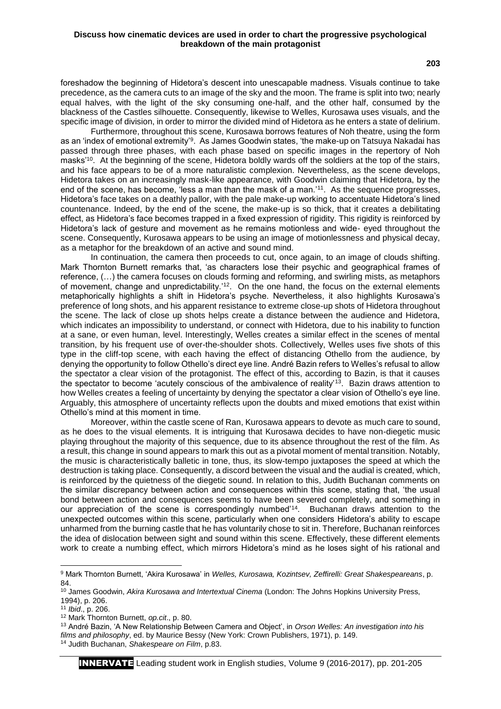**203**

foreshadow the beginning of Hidetora's descent into unescapable madness. Visuals continue to take precedence, as the camera cuts to an image of the sky and the moon. The frame is split into two; nearly equal halves, with the light of the sky consuming one-half, and the other half, consumed by the blackness of the Castles silhouette. Consequently, likewise to Welles, Kurosawa uses visuals, and the specific image of division, in order to mirror the divided mind of Hidetora as he enters a state of delirium.

Furthermore, throughout this scene, Kurosawa borrows features of Noh theatre, using the form as an 'index of emotional extremity'<sup>9</sup>. As James Goodwin states, 'the make-up on Tatsuya Nakadai has passed through three phases, with each phase based on specific images in the repertory of Noh masks'<sup>10</sup>. At the beginning of the scene, Hidetora boldly wards off the soldiers at the top of the stairs, and his face appears to be of a more naturalistic complexion. Nevertheless, as the scene develops, Hidetora takes on an increasingly mask-like appearance, with Goodwin claiming that Hidetora, by the end of the scene, has become, 'less a man than the mask of a man.'<sup>11</sup> . As the sequence progresses, Hidetora's face takes on a deathly pallor, with the pale make-up working to accentuate Hidetora's lined countenance. Indeed, by the end of the scene, the make-up is so thick, that it creates a debilitating effect, as Hidetora's face becomes trapped in a fixed expression of rigidity. This rigidity is reinforced by Hidetora's lack of gesture and movement as he remains motionless and wide- eyed throughout the scene. Consequently, Kurosawa appears to be using an image of motionlessness and physical decay, as a metaphor for the breakdown of an active and sound mind.

In continuation, the camera then proceeds to cut, once again, to an image of clouds shifting. Mark Thornton Burnett remarks that, 'as characters lose their psychic and geographical frames of reference, (…) the camera focuses on clouds forming and reforming, and swirling mists, as metaphors of movement, change and unpredictability.<sup>'12</sup>. On the one hand, the focus on the external elements metaphorically highlights a shift in Hidetora's psyche. Nevertheless, it also highlights Kurosawa's preference of long shots, and his apparent resistance to extreme close-up shots of Hidetora throughout the scene. The lack of close up shots helps create a distance between the audience and Hidetora, which indicates an impossibility to understand, or connect with Hidetora, due to his inability to function at a sane, or even human, level. Interestingly, Welles creates a similar effect in the scenes of mental transition, by his frequent use of over-the-shoulder shots. Collectively, Welles uses five shots of this type in the cliff-top scene, with each having the effect of distancing Othello from the audience, by denying the opportunity to follow Othello's direct eye line. André Bazin refers to Welles's refusal to allow the spectator a clear vision of the protagonist. The effect of this, according to Bazin, is that it causes the spectator to become 'acutely conscious of the ambivalence of reality'<sup>13</sup>. Bazin draws attention to how Welles creates a feeling of uncertainty by denying the spectator a clear vision of Othello's eye line. Arguably, this atmosphere of uncertainty reflects upon the doubts and mixed emotions that exist within Othello's mind at this moment in time.

Moreover, within the castle scene of Ran, Kurosawa appears to devote as much care to sound, as he does to the visual elements. It is intriguing that Kurosawa decides to have non-diegetic music playing throughout the majority of this sequence, due to its absence throughout the rest of the film. As a result, this change in sound appears to mark this out as a pivotal moment of mental transition. Notably, the music is characteristically balletic in tone, thus, its slow-tempo juxtaposes the speed at which the destruction is taking place. Consequently, a discord between the visual and the audial is created, which, is reinforced by the quietness of the diegetic sound. In relation to this, Judith Buchanan comments on the similar discrepancy between action and consequences within this scene, stating that, 'the usual bond between action and consequences seems to have been severed completely, and something in our appreciation of the scene is correspondingly numbed<sup>'14</sup>. Buchanan draws attention to the unexpected outcomes within this scene, particularly when one considers Hidetora's ability to escape unharmed from the burning castle that he has voluntarily chose to sit in. Therefore, Buchanan reinforces the idea of dislocation between sight and sound within this scene. Effectively, these different elements work to create a numbing effect, which mirrors Hidetora's mind as he loses sight of his rational and

**.** 

INNERVATE Leading student work in English studies, Volume 9 (2016-2017), pp. 201-205

<sup>9</sup> Mark Thornton Burnett, 'Akira Kurosawa' in *Welles, Kurosawa, Kozintsev, Zeffirelli: Great Shakespeareans*, p. 84.

<sup>10</sup> James Goodwin, *Akira Kurosawa and Intertextual Cinema* (London: The Johns Hopkins University Press, 1994), p. 206.

<sup>11</sup> *Ibid*., p. 206.

<sup>12</sup> Mark Thornton Burnett, *op.cit*., p. 80.

<sup>13</sup> André Bazin, 'A New Relationship Between Camera and Object', in *Orson Welles: An investigation into his films and philosophy*, ed. by Maurice Bessy (New York: Crown Publishers, 1971), p. 149. <sup>14</sup> Judith Buchanan, *Shakespeare on Film*, p.83.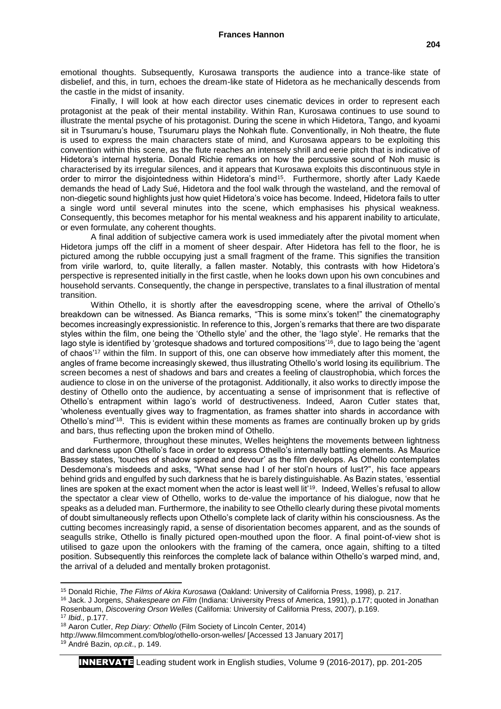emotional thoughts. Subsequently, Kurosawa transports the audience into a trance-like state of disbelief, and this, in turn, echoes the dream-like state of Hidetora as he mechanically descends from the castle in the midst of insanity.

Finally, I will look at how each director uses cinematic devices in order to represent each protagonist at the peak of their mental instability. Within Ran, Kurosawa continues to use sound to illustrate the mental psyche of his protagonist. During the scene in which Hidetora, Tango, and kyoami sit in Tsurumaru's house, Tsurumaru plays the Nohkah flute. Conventionally, in Noh theatre, the flute is used to express the main characters state of mind, and Kurosawa appears to be exploiting this convention within this scene, as the flute reaches an intensely shrill and eerie pitch that is indicative of Hidetora's internal hysteria. Donald Richie remarks on how the percussive sound of Noh music is characterised by its irregular silences, and it appears that Kurosawa exploits this discontinuous style in order to mirror the disjointedness within Hidetora's mind<sup>15</sup>. Furthermore, shortly after Lady Kaede demands the head of Lady Sué, Hidetora and the fool walk through the wasteland, and the removal of non-diegetic sound highlights just how quiet Hidetora's voice has become. Indeed, Hidetora fails to utter a single word until several minutes into the scene, which emphasises his physical weakness. Consequently, this becomes metaphor for his mental weakness and his apparent inability to articulate, or even formulate, any coherent thoughts.

A final addition of subjective camera work is used immediately after the pivotal moment when Hidetora jumps off the cliff in a moment of sheer despair. After Hidetora has fell to the floor, he is pictured among the rubble occupying just a small fragment of the frame. This signifies the transition from virile warlord, to, quite literally, a fallen master. Notably, this contrasts with how Hidetora's perspective is represented initially in the first castle, when he looks down upon his own concubines and household servants. Consequently, the change in perspective, translates to a final illustration of mental transition.

Within Othello, it is shortly after the eavesdropping scene, where the arrival of Othello's breakdown can be witnessed. As Bianca remarks, "This is some minx's token!" the cinematography becomes increasingly expressionistic. In reference to this, Jorgen's remarks that there are two disparate styles within the film, one being the 'Othello style' and the other, the 'Iago style'. He remarks that the lago style is identified by 'grotesque shadows and tortured compositions'<sup>16</sup>, due to lago being the 'agent of chaos'<sup>17</sup> within the film. In support of this, one can observe how immediately after this moment, the angles of frame become increasingly skewed, thus illustrating Othello's world losing its equilibrium. The screen becomes a nest of shadows and bars and creates a feeling of claustrophobia, which forces the audience to close in on the universe of the protagonist. Additionally, it also works to directly impose the destiny of Othello onto the audience, by accentuating a sense of imprisonment that is reflective of Othello's entrapment within Iago's world of destructiveness. Indeed, Aaron Cutler states that, 'wholeness eventually gives way to fragmentation, as frames shatter into shards in accordance with Othello's mind'<sup>18</sup>. This is evident within these moments as frames are continually broken up by grids and bars, thus reflecting upon the broken mind of Othello.

Furthermore, throughout these minutes, Welles heightens the movements between lightness and darkness upon Othello's face in order to express Othello's internally battling elements. As Maurice Bassey states, 'touches of shadow spread and devour' as the film develops. As Othello contemplates Desdemona's misdeeds and asks, "What sense had I of her stol'n hours of lust?", his face appears behind grids and engulfed by such darkness that he is barely distinguishable. As Bazin states, 'essential lines are spoken at the exact moment when the actor is least well lit<sup>'19</sup>. Indeed, Welles's refusal to allow the spectator a clear view of Othello, works to de-value the importance of his dialogue, now that he speaks as a deluded man. Furthermore, the inability to see Othello clearly during these pivotal moments of doubt simultaneously reflects upon Othello's complete lack of clarity within his consciousness. As the cutting becomes increasingly rapid, a sense of disorientation becomes apparent, and as the sounds of seagulls strike, Othello is finally pictured open-mouthed upon the floor. A final point-of-view shot is utilised to gaze upon the onlookers with the framing of the camera, once again, shifting to a tilted position. Subsequently this reinforces the complete lack of balance within Othello's warped mind, and, the arrival of a deluded and mentally broken protagonist.

**<sup>.</sup>** <sup>15</sup> Donald Richie, *The Films of Akira Kurosawa* (Oakland: University of California Press, 1998), p. 217.

<sup>16</sup> Jack. J Jorgens, *Shakespeare on Film* (Indiana: University Press of America, 1991), p.177; quoted in Jonathan Rosenbaum, *Discovering Orson Welles* (California: University of California Press, 2007), p.169.

<sup>17</sup> *Ibid.,* p.177.

<sup>18</sup> Aaron Cutler, *Rep Diary: Othello* (Film Society of Lincoln Center, 2014)

http://www.filmcomment.com/blog/othello-orson-welles/ [Accessed 13 January 2017]

<sup>19</sup> André Bazin, *op.cit*., p. 149.